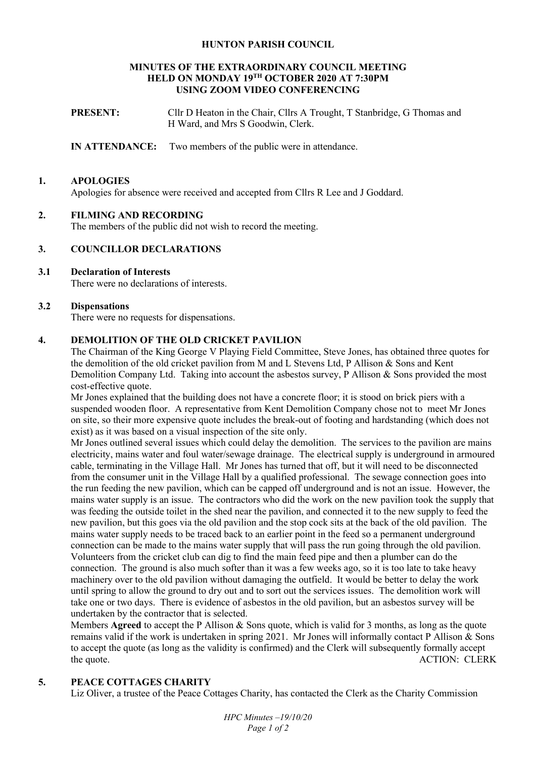### **HUNTON PARISH COUNCIL**

#### **MINUTES OF THE EXTRAORDINARY COUNCIL MEETING HELD ON MONDAY 19TH OCTOBER 2020 AT 7:30PM USING ZOOM VIDEO CONFERENCING**

**PRESENT:** Cllr D Heaton in the Chair, Cllrs A Trought, T Stanbridge, G Thomas and H Ward, and Mrs S Goodwin, Clerk.

**IN ATTENDANCE:** Two members of the public were in attendance.

### **1. APOLOGIES**

Apologies for absence were received and accepted from Cllrs R Lee and J Goddard.

## **2. FILMING AND RECORDING**

The members of the public did not wish to record the meeting.

## **3. COUNCILLOR DECLARATIONS**

# **3.1 Declaration of Interests**

There were no declarations of interests.

## **3.2 Dispensations**

There were no requests for dispensations.

## **4. DEMOLITION OF THE OLD CRICKET PAVILION**

The Chairman of the King George V Playing Field Committee, Steve Jones, has obtained three quotes for the demolition of the old cricket pavilion from M and L Stevens Ltd, P Allison & Sons and Kent Demolition Company Ltd. Taking into account the asbestos survey, P Allison & Sons provided the most cost-effective quote.

Mr Jones explained that the building does not have a concrete floor; it is stood on brick piers with a suspended wooden floor. A representative from Kent Demolition Company chose not to meet Mr Jones on site, so their more expensive quote includes the break-out of footing and hardstanding (which does not exist) as it was based on a visual inspection of the site only.

Mr Jones outlined several issues which could delay the demolition. The services to the pavilion are mains electricity, mains water and foul water/sewage drainage. The electrical supply is underground in armoured cable, terminating in the Village Hall. Mr Jones has turned that off, but it will need to be disconnected from the consumer unit in the Village Hall by a qualified professional. The sewage connection goes into the run feeding the new pavilion, which can be capped off underground and is not an issue. However, the mains water supply is an issue. The contractors who did the work on the new pavilion took the supply that was feeding the outside toilet in the shed near the pavilion, and connected it to the new supply to feed the new pavilion, but this goes via the old pavilion and the stop cock sits at the back of the old pavilion. The mains water supply needs to be traced back to an earlier point in the feed so a permanent underground connection can be made to the mains water supply that will pass the run going through the old pavilion. Volunteers from the cricket club can dig to find the main feed pipe and then a plumber can do the connection. The ground is also much softer than it was a few weeks ago, so it is too late to take heavy machinery over to the old pavilion without damaging the outfield. It would be better to delay the work until spring to allow the ground to dry out and to sort out the services issues. The demolition work will take one or two days. There is evidence of asbestos in the old pavilion, but an asbestos survey will be undertaken by the contractor that is selected.

Members **Agreed** to accept the P Allison & Sons quote, which is valid for 3 months, as long as the quote remains valid if the work is undertaken in spring 2021. Mr Jones will informally contact P Allison  $\&$  Sons to accept the quote (as long as the validity is confirmed) and the Clerk will subsequently formally accept the quote. ACTION: CLERK

# **5. PEACE COTTAGES CHARITY**

Liz Oliver, a trustee of the Peace Cottages Charity, has contacted the Clerk as the Charity Commission